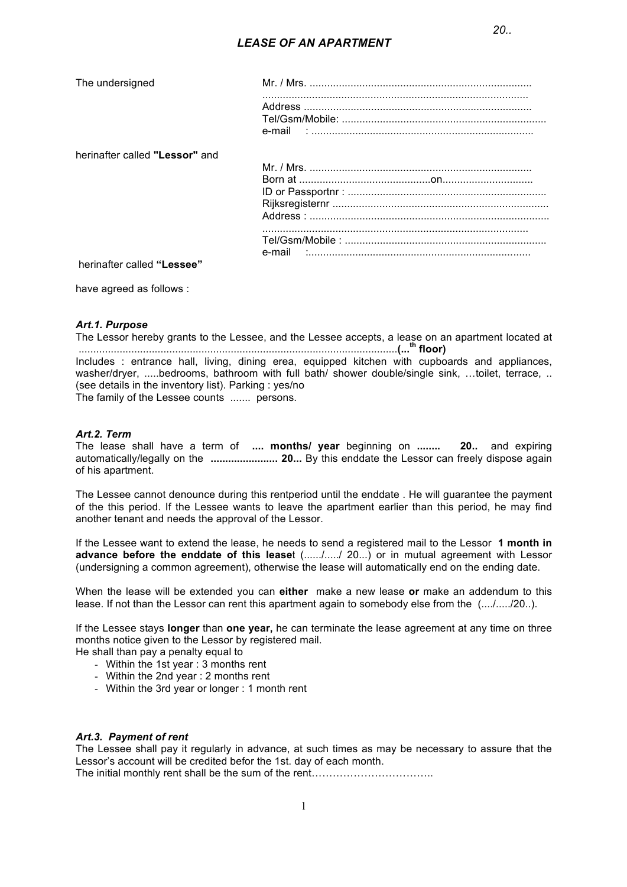| The undersigned |  |
|-----------------|--|
|-----------------|--|

herinafter called "Lessor" and

herinafter called "Lessee"

have agreed as follows :

## Art.1. Purpose

The Lessor hereby grants to the Lessee, and the Lessee accepts, a lease on an apartment located at 

Includes : entrance hall, living, dining erea, equipped kitchen with cupboards and appliances, washer/dryer, .....bedrooms, bathroom with full bath/ shower double/single sink, ...toilet, terrace, .. (see details in the inventory list). Parking : yes/no The family of the Lessee counts ....... persons.

## Art.2. Term

The lease shall have a term of .... months/ year beginning on ........ 20.. and expiring automatically/legally on the ........................ 20... By this enddate the Lessor can freely dispose again of his apartment.

The Lessee cannot denounce during this rentperiod until the enddate . He will quarantee the payment of the this period. If the Lessee wants to leave the apartment earlier than this period, he may find another tenant and needs the approval of the Lessor.

If the Lessee want to extend the lease, he needs to send a registered mail to the Lessor 1 month in advance before the enddate of this leaset (....../...../ 20...) or in mutual agreement with Lessor (undersigning a common agreement), otherwise the lease will automatically end on the ending date.

When the lease will be extended you can either make a new lease or make an addendum to this lease. If not than the Lessor can rent this apartment again to somebody else from the (..../...../20..).

If the Lessee stays longer than one year, he can terminate the lease agreement at any time on three months notice given to the Lessor by registered mail.

He shall than pay a penalty equal to

- Within the 1st year: 3 months rent
- Within the 2nd year: 2 months rent
- Within the 3rd year or longer: 1 month rent

#### Art.3. Payment of rent

The Lessee shall pay it regularly in advance, at such times as may be necessary to assure that the Lessor's account will be credited befor the 1st. day of each month. 

 $\mathbf{1}$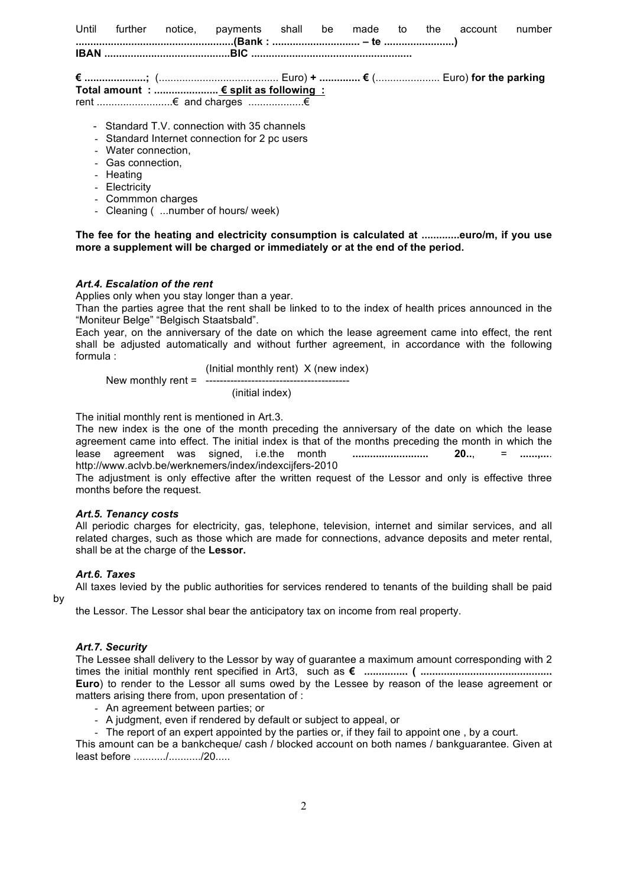|                     | Until further notice, payments shall be made to the account |  |  |  | number |
|---------------------|-------------------------------------------------------------|--|--|--|--------|
|                     |                                                             |  |  |  |        |
|                     |                                                             |  |  |  |        |
|                     | Total amount : $\epsilon$ split as following :              |  |  |  |        |
|                     |                                                             |  |  |  |        |
|                     | - Standard T.V. connection with 35 channels                 |  |  |  |        |
|                     | - Standard Internet connection for 2 pc users               |  |  |  |        |
| - Water connection, |                                                             |  |  |  |        |
| - Gas connection.   |                                                             |  |  |  |        |
| - Heating           |                                                             |  |  |  |        |
| $E$ lootrioitu      |                                                             |  |  |  |        |

- Electricity
- Commmon charges
- Cleaning ( ... number of hours/ week)

The fee for the heating and electricity consumption is calculated at .............euro/m, if you use more a supplement will be charged or immediately or at the end of the period.

#### Art.4. Escalation of the rent

Applies only when you stay longer than a year.

Than the parties agree that the rent shall be linked to to the index of health prices announced in the "Moniteur Belge" "Belgisch Staatsbald".

Each year, on the anniversary of the date on which the lease agreement came into effect, the rent shall be adjusted automatically and without further agreement, in accordance with the following formula:

(Initial monthly rent) X (new index)

New monthly rent =  $---$ 

(initial index)

The initial monthly rent is mentioned in Art.3.

The new index is the one of the month preceding the anniversary of the date on which the lease agreement came into effect. The initial index is that of the months preceding the month in which the lease agreement was signed, i.e.the month .........................  $20...$  $=$  ............. http://www.aclvb.be/werknemers/index/indexcijfers-2010

The adjustment is only effective after the written request of the Lessor and only is effective three months before the request.

#### Art.5. Tenancy costs

All periodic charges for electricity, gas, telephone, television, internet and similar services, and all related charges, such as those which are made for connections, advance deposits and meter rental, shall be at the charge of the Lessor.

### Art.6, Taxes

by

All taxes levied by the public authorities for services rendered to tenants of the building shall be paid

the Lessor. The Lessor shal bear the anticipatory tax on income from real property.

#### Art.7. Security

The Lessee shall delivery to the Lessor by way of quarantee a maximum amount corresponding with 2 Euro) to render to the Lessor all sums owed by the Lessee by reason of the lease agreement or matters arising there from, upon presentation of:

- An agreement between parties; or
- A judgment, even if rendered by default or subject to appeal, or
- The report of an expert appointed by the parties or, if they fail to appoint one, by a court.

This amount can be a bankcheque/ cash / blocked account on both names / bankquarantee. Given at least before  $\ldots \ldots \ldots \ldots \ldots$  /20...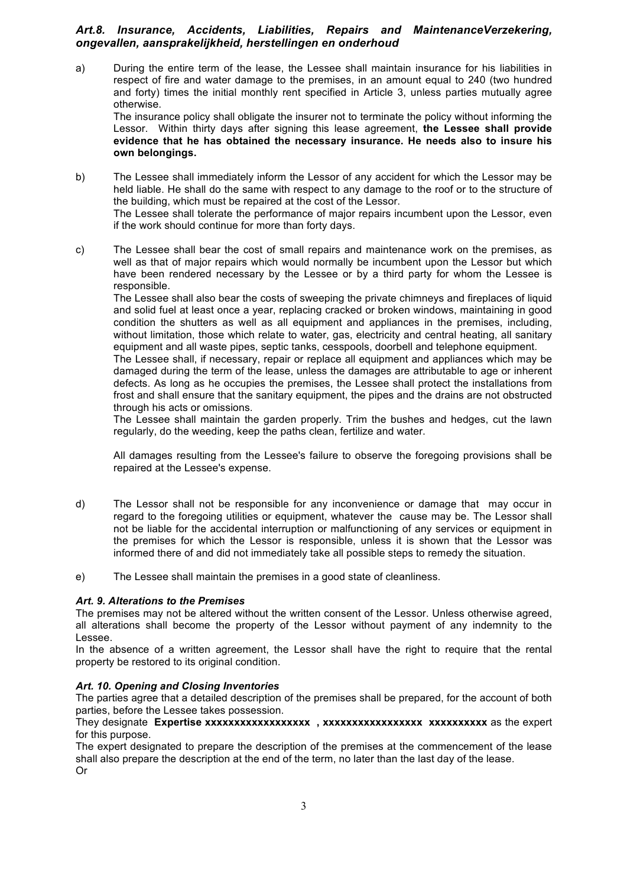# *Art.8. Insurance, Accidents, Liabilities, Repairs and MaintenanceVerzekering, ongevallen, aansprakelijkheid, herstellingen en onderhoud*

a) During the entire term of the lease, the Lessee shall maintain insurance for his liabilities in respect of fire and water damage to the premises, in an amount equal to 240 (two hundred and forty) times the initial monthly rent specified in Article 3, unless parties mutually agree otherwise.

The insurance policy shall obligate the insurer not to terminate the policy without informing the Lessor. Within thirty days after signing this lease agreement, **the Lessee shall provide evidence that he has obtained the necessary insurance. He needs also to insure his own belongings.**

b) The Lessee shall immediately inform the Lessor of any accident for which the Lessor may be held liable. He shall do the same with respect to any damage to the roof or to the structure of the building, which must be repaired at the cost of the Lessor. The Lessee shall tolerate the performance of major repairs incumbent upon the Lessor, even

if the work should continue for more than forty days.

c) The Lessee shall bear the cost of small repairs and maintenance work on the premises, as well as that of major repairs which would normally be incumbent upon the Lessor but which have been rendered necessary by the Lessee or by a third party for whom the Lessee is responsible.

The Lessee shall also bear the costs of sweeping the private chimneys and fireplaces of liquid and solid fuel at least once a year, replacing cracked or broken windows, maintaining in good condition the shutters as well as all equipment and appliances in the premises, including, without limitation, those which relate to water, gas, electricity and central heating, all sanitary equipment and all waste pipes, septic tanks, cesspools, doorbell and telephone equipment.

The Lessee shall, if necessary, repair or replace all equipment and appliances which may be damaged during the term of the lease, unless the damages are attributable to age or inherent defects. As long as he occupies the premises, the Lessee shall protect the installations from frost and shall ensure that the sanitary equipment, the pipes and the drains are not obstructed through his acts or omissions.

The Lessee shall maintain the garden properly. Trim the bushes and hedges, cut the lawn regularly, do the weeding, keep the paths clean, fertilize and water.

All damages resulting from the Lessee's failure to observe the foregoing provisions shall be repaired at the Lessee's expense.

- d) The Lessor shall not be responsible for any inconvenience or damage that may occur in regard to the foregoing utilities or equipment, whatever the cause may be. The Lessor shall not be liable for the accidental interruption or malfunctioning of any services or equipment in the premises for which the Lessor is responsible, unless it is shown that the Lessor was informed there of and did not immediately take all possible steps to remedy the situation.
- e) The Lessee shall maintain the premises in a good state of cleanliness.

## *Art. 9. Alterations to the Premises*

The premises may not be altered without the written consent of the Lessor. Unless otherwise agreed, all alterations shall become the property of the Lessor without payment of any indemnity to the Lessee.

In the absence of a written agreement, the Lessor shall have the right to require that the rental property be restored to its original condition.

## *Art. 10. Opening and Closing Inventories*

The parties agree that a detailed description of the premises shall be prepared, for the account of both parties, before the Lessee takes possession.

They designate **Expertise xxxxxxxxxxxxxxxxxx , xxxxxxxxxxxxxxxxx xxxxxxxxxx** as the expert for this purpose.

The expert designated to prepare the description of the premises at the commencement of the lease shall also prepare the description at the end of the term, no later than the last day of the lease. Or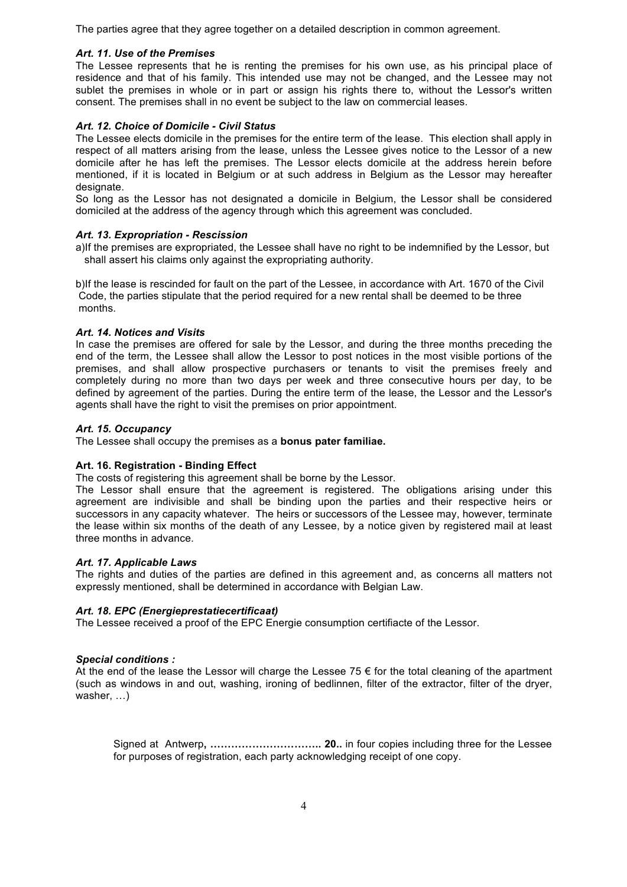The parties agree that they agree together on a detailed description in common agreement.

## *Art. 11. Use of the Premises*

The Lessee represents that he is renting the premises for his own use, as his principal place of residence and that of his family. This intended use may not be changed, and the Lessee may not sublet the premises in whole or in part or assign his rights there to, without the Lessor's written consent. The premises shall in no event be subject to the law on commercial leases.

## *Art. 12. Choice of Domicile - Civil Status*

The Lessee elects domicile in the premises for the entire term of the lease. This election shall apply in respect of all matters arising from the lease, unless the Lessee gives notice to the Lessor of a new domicile after he has left the premises. The Lessor elects domicile at the address herein before mentioned, if it is located in Belgium or at such address in Belgium as the Lessor may hereafter designate.

So long as the Lessor has not designated a domicile in Belgium, the Lessor shall be considered domiciled at the address of the agency through which this agreement was concluded.

## *Art. 13. Expropriation - Rescission*

a)If the premises are expropriated, the Lessee shall have no right to be indemnified by the Lessor, but shall assert his claims only against the expropriating authority.

b)If the lease is rescinded for fault on the part of the Lessee, in accordance with Art. 1670 of the Civil Code, the parties stipulate that the period required for a new rental shall be deemed to be three months.

## *Art. 14. Notices and Visits*

In case the premises are offered for sale by the Lessor, and during the three months preceding the end of the term, the Lessee shall allow the Lessor to post notices in the most visible portions of the premises, and shall allow prospective purchasers or tenants to visit the premises freely and completely during no more than two days per week and three consecutive hours per day, to be defined by agreement of the parties. During the entire term of the lease, the Lessor and the Lessor's agents shall have the right to visit the premises on prior appointment.

## *Art. 15. Occupancy*

The Lessee shall occupy the premises as a **bonus pater familiae.**

## **Art. 16. Registration - Binding Effect**

The costs of registering this agreement shall be borne by the Lessor.

The Lessor shall ensure that the agreement is registered. The obligations arising under this agreement are indivisible and shall be binding upon the parties and their respective heirs or successors in any capacity whatever. The heirs or successors of the Lessee may, however, terminate the lease within six months of the death of any Lessee, by a notice given by registered mail at least three months in advance.

## *Art. 17. Applicable Laws*

The rights and duties of the parties are defined in this agreement and, as concerns all matters not expressly mentioned, shall be determined in accordance with Belgian Law.

## *Art. 18. EPC (Energieprestatiecertificaat)*

The Lessee received a proof of the EPC Energie consumption certifiacte of the Lessor.

## *Special conditions :*

At the end of the lease the Lessor will charge the Lessee 75  $\epsilon$  for the total cleaning of the apartment (such as windows in and out, washing, ironing of bedlinnen, filter of the extractor, filter of the dryer, washer, …)

Signed at Antwerp**, ………………………….. 20..** in four copies including three for the Lessee for purposes of registration, each party acknowledging receipt of one copy.